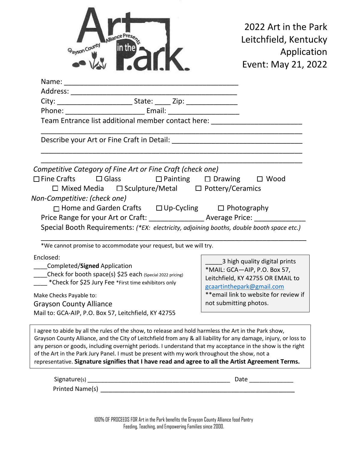| <b>Sayson Count</b>                                                                                                                             | in the                                                                                                                                                                                                                               |  |                                                                                                                                                                                                     | 2022 Art in the Park<br>Leitchfield, Kentucky<br>Application<br>Event: May 21, 2022 |
|-------------------------------------------------------------------------------------------------------------------------------------------------|--------------------------------------------------------------------------------------------------------------------------------------------------------------------------------------------------------------------------------------|--|-----------------------------------------------------------------------------------------------------------------------------------------------------------------------------------------------------|-------------------------------------------------------------------------------------|
|                                                                                                                                                 |                                                                                                                                                                                                                                      |  |                                                                                                                                                                                                     |                                                                                     |
|                                                                                                                                                 |                                                                                                                                                                                                                                      |  |                                                                                                                                                                                                     |                                                                                     |
|                                                                                                                                                 |                                                                                                                                                                                                                                      |  |                                                                                                                                                                                                     |                                                                                     |
|                                                                                                                                                 | Team Entrance list additional member contact here:                                                                                                                                                                                   |  |                                                                                                                                                                                                     |                                                                                     |
|                                                                                                                                                 |                                                                                                                                                                                                                                      |  |                                                                                                                                                                                                     |                                                                                     |
|                                                                                                                                                 |                                                                                                                                                                                                                                      |  |                                                                                                                                                                                                     |                                                                                     |
|                                                                                                                                                 |                                                                                                                                                                                                                                      |  |                                                                                                                                                                                                     |                                                                                     |
| Competitive Category of Fine Art or Fine Craft (check one)<br>□ Fine Crafts □ Glass □ Painting □ Drawing □ Wood<br>Non-Competitive: (check one) | $\Box$ Mixed Media $\Box$ Sculpture/Metal $\Box$ Pottery/Ceramics                                                                                                                                                                    |  |                                                                                                                                                                                                     |                                                                                     |
|                                                                                                                                                 | □ Home and Garden Crafts □ Up-Cycling □ Photography<br>Price Range for your Art or Craft: ___________________ Average Price: __________<br>Special Booth Requirements: (*EX: electricity, adjoining booths, double booth space etc.) |  |                                                                                                                                                                                                     |                                                                                     |
|                                                                                                                                                 | *We cannot promise to accommodate your request, but we will try.                                                                                                                                                                     |  |                                                                                                                                                                                                     |                                                                                     |
| Enclosed:<br>Make Checks Payable to:<br><b>Grayson County Alliance</b>                                                                          | Completed/Signed Application<br>Check for booth space(s) \$25 each (Special 2022 pricing)<br>*Check for \$25 Jury Fee *First time exhibitors only                                                                                    |  | 3 high quality digital prints<br>*MAIL: GCA-AIP, P.O. Box 57,<br>Leitchfield, KY 42755 OR EMAIL to<br>gcaartinthepark@gmail.com<br>** email link to website for review if<br>not submitting photos. |                                                                                     |
| Mail to: GCA-AIP, P.O. Box 57, Leitchfield, KY 42755                                                                                            |                                                                                                                                                                                                                                      |  |                                                                                                                                                                                                     |                                                                                     |

| Signature(s)    | Date |
|-----------------|------|
| Printed Name(s) |      |